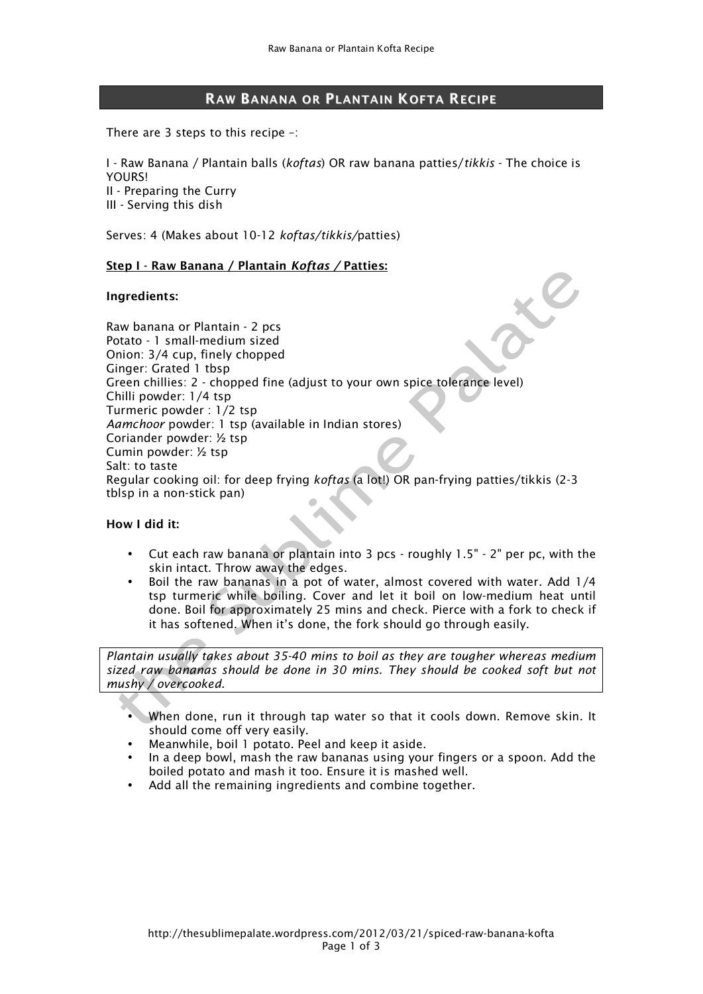# RAW BANANA OR PLANTAIN KOFTA RECIPE

There are 3 steps to this recipe –:

I - Raw Banana / Plantain balls (*koftas*) OR raw banana patties/*tikkis* - The choice is **YOURS!** II - Preparing the Curry III - Serving this dish

Serves: 4 (Makes about 10-12 *koftas/tikkis/*patties)

#### Step I - Raw Banana / Plantain *Koftas /* Patties:

#### Ingredients:

Raw banana or Plantain - 2 pcs Potato - 1 small-medium sized Onion: 3/4 cup, finely chopped Ginger: Grated 1 tbsp Green chillies: 2 - chopped fine (adjust to your own spice tolerance level) Chilli powder: 1/4 tsp Turmeric powder : 1/2 tsp *Aamchoor* powder: 1 tsp (available in Indian stores) Coriander powder: ½ tsp Cumin powder: ½ tsp Salt: to taste Regular cooking oil: for deep frying *koftas* (a lot!) OR pan-frying patties/tikkis (2-3 tblsp in a non-stick pan)

## How I did it:

- Cut each raw banana or plantain into 3 pcs roughly 1.5" 2" per pc, with the skin intact. Throw away the edges.
- Boil the raw bananas in a pot of water, almost covered with water. Add 1/4 tsp turmeric while boiling. Cover and let it boil on low-medium heat until done. Boil for approximately 25 mins and check. Pierce with a fork to check if it has softened. When it's done, the fork should go through easily.

*Plantain usually takes about 35-40 mins to boil as they are tougher whereas medium sized raw bananas should be done in 30 mins. They should be cooked soft but not mushy / overcooked.*

- When done, run it through tap water so that it cools down. Remove skin. It should come off very easily.
- Meanwhile, boil 1 potato. Peel and keep it aside.
- In a deep bowl, mash the raw bananas using your fingers or a spoon. Add the boiled potato and mash it too. Ensure it is mashed well.
- Add all the remaining ingredients and combine together.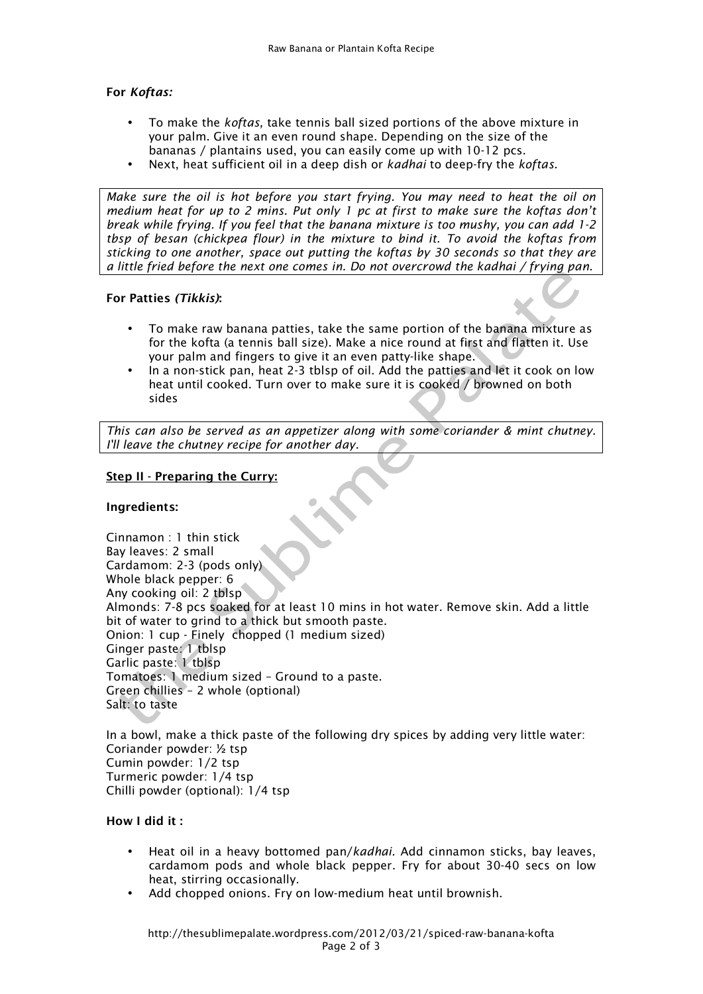# For *Koftas:*

- To make the *koftas,* take tennis ball sized portions of the above mixture in your palm. Give it an even round shape. Depending on the size of the bananas / plantains used, you can easily come up with 10-12 pcs.
- Next, heat sufficient oil in a deep dish or *kadhai* to deep-fry the *koftas.*

*Make sure the oil is hot before you start frying. You may need to heat the oil on medium heat for up to 2 mins. Put only 1 pc at first to make sure the koftas don't break while frying. If you feel that the banana mixture is too mushy, you can add 1-2 tbsp of besan (chickpea flour) in the mixture to bind it. To avoid the koftas from sticking to one another, space out putting the koftas by 30 seconds so that they are a little fried before the next one comes in. Do not overcrowd the kadhai / frying pan.*

## For Patties *(Tikkis)*:

- To make raw banana patties, take the same portion of the banana mixture as for the kofta (a tennis ball size). Make a nice round at first and flatten it. Use your palm and fingers to give it an even patty-like shape.
- In a non-stick pan, heat 2-3 tblsp of oil. Add the patties and let it cook on low heat until cooked. Turn over to make sure it is cooked / browned on both sides

*This can also be served as an appetizer along with some coriander & mint chutney. I'll leave the chutney recipe for another day.*

## Step II - Preparing the Curry:

## Ingredients:

Cinnamon : 1 thin stick Bay leaves: 2 small Cardamom: 2-3 (pods only) Whole black pepper: 6 Any cooking oil: 2 tblsp Almonds: 7-8 pcs soaked for at least 10 mins in hot water. Remove skin. Add a little bit of water to grind to a thick but smooth paste. Onion: 1 cup - Finely chopped (1 medium sized) Ginger paste: 1 tblsp Garlic paste: 1 tblsp Tomatoes: 1 medium sized – Ground to a paste. Green chillies – 2 whole (optional) Salt: to taste

In a bowl, make a thick paste of the following dry spices by adding very little water: Coriander powder: ½ tsp Cumin powder: 1/2 tsp Turmeric powder: 1/4 tsp Chilli powder (optional): 1/4 tsp

#### How I did it :

- Heat oil in a heavy bottomed pan/*kadhai.* Add cinnamon sticks, bay leaves, cardamom pods and whole black pepper. Fry for about 30-40 secs on low heat, stirring occasionally.
- Add chopped onions. Fry on low-medium heat until brownish.